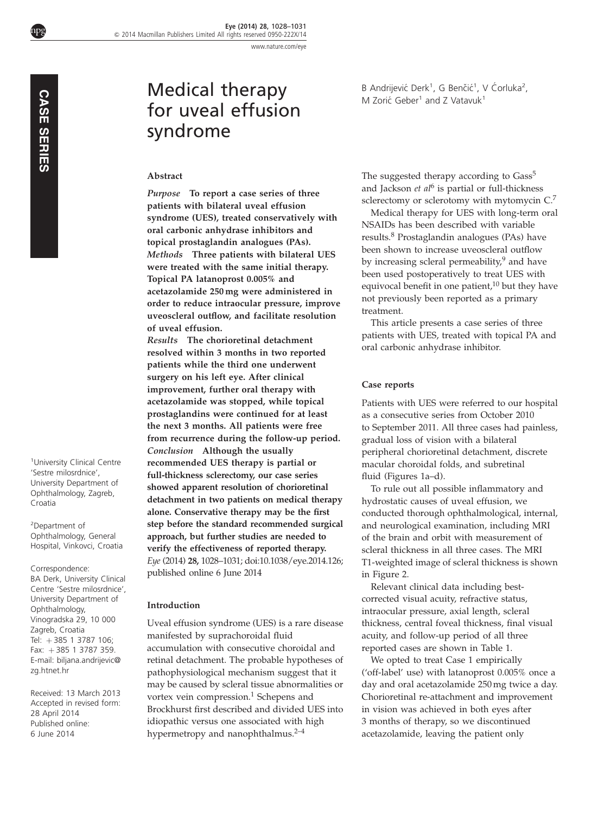[www.nature.com/eye](http://www.nature.com/eye)

npg

# Medical therapy for uveal effusion syndrome

#### Abstract

Purpose To report a case series of three patients with bilateral uveal effusion syndrome (UES), treated conservatively with oral carbonic anhydrase inhibitors and topical prostaglandin analogues (PAs). Methods Three patients with bilateral UES were treated with the same initial therapy. Topical PA latanoprost 0.005% and acetazolamide 250 mg were administered in order to reduce intraocular pressure, improve uveoscleral outflow, and facilitate resolution of uveal effusion.

Results The chorioretinal detachment resolved within 3 months in two reported patients while the third one underwent surgery on his left eye. After clinical improvement, further oral therapy with acetazolamide was stopped, while topical prostaglandins were continued for at least the next 3 months. All patients were free from recurrence during the follow-up period. Conclusion Although the usually recommended UES therapy is partial or full-thickness sclerectomy, our case series showed apparent resolution of chorioretinal detachment in two patients on medical therapy alone. Conservative therapy may be the first step before the standard recommended surgical approach, but further studies are needed to verify the effectiveness of reported therapy. Eye (2014) 28, 1028–1031; doi[:10.1038/eye.2014.126;](http://dx.doi.org/10.1038/eye.2014.126) published online 6 June 2014

# Introduction

Uveal effusion syndrome (UES) is a rare disease manifested by suprachoroidal fluid accumulation with consecutive choroidal and retinal detachment. The probable hypotheses of pathophysiological mechanism suggest that it may be caused by scleral tissue abnormalities or vortex vein compression.<sup>[1](#page-2-0)</sup> Schepens and Brockhurst first described and divided UES into idiopathic versus one associated with high hypermetropy and nanophthalmus.<sup>[2–4](#page-2-0)</sup>

B Andrijević Derk<sup>1</sup>, G Benčić<sup>1</sup>, V Ćorluka<sup>2</sup>, M Zorić Geber<sup>1</sup> and Z Vatavuk<sup>1</sup>

The suggested therapy according to Gass<sup>5</sup> and Jackson  $et$   $al<sup>6</sup>$  $al<sup>6</sup>$  $al<sup>6</sup>$  is partial or full-thickness sclerectomy or sclerotomy with mytomycin C.[7](#page-3-0)

Medical therapy for UES with long-term oral NSAIDs has been described with variable results.[8](#page-3-0) Prostaglandin analogues (PAs) have been shown to increase uveoscleral outflow by increasing scleral permeability, $9$  and have been used postoperatively to treat UES with equivocal benefit in one patient,<sup>[10](#page-3-0)</sup> but they have not previously been reported as a primary treatment.

This article presents a case series of three patients with UES, treated with topical PA and oral carbonic anhydrase inhibitor.

# Case reports

Patients with UES were referred to our hospital as a consecutive series from October 2010 to September 2011. All three cases had painless, gradual loss of vision with a bilateral peripheral chorioretinal detachment, discrete macular choroidal folds, and subretinal fluid ([Figures 1a–d](#page-1-0)).

To rule out all possible inflammatory and hydrostatic causes of uveal effusion, we conducted thorough ophthalmological, internal, and neurological examination, including MRI of the brain and orbit with measurement of scleral thickness in all three cases. The MRI T1-weighted image of scleral thickness is shown in [Figure 2.](#page-2-0)

Relevant clinical data including bestcorrected visual acuity, refractive status, intraocular pressure, axial length, scleral thickness, central foveal thickness, final visual acuity, and follow-up period of all three reported cases are shown in [Table 1.](#page-2-0)

We opted to treat Case 1 empirically ('off-label' use) with latanoprost 0.005% once a day and oral acetazolamide 250 mg twice a day. Chorioretinal re-attachment and improvement in vision was achieved in both eyes after 3 months of therapy, so we discontinued acetazolamide, leaving the patient only

1 University Clinical Centre 'Sestre milosrdnice', University Department of Ophthalmology, Zagreb, Croatia

2 Department of Ophthalmology, General Hospital, Vinkovci, Croatia

Correspondence: BA Derk, University Clinical Centre 'Sestre milosrdnice', University Department of Ophthalmology, Vinogradska 29, 10 000 Zagreb, Croatia Tel: +385 1 3787 106; Fax:  $+385$  1 3787 359. E-mail: [biljana.andrijevic@](mailto:biljana.andrijevic@zg.htnet.hr) [zg.htnet.hr](mailto:biljana.andrijevic@zg.htnet.hr) <sup>1</sup>University C'Sestre milos<br>
University De<br>
Ophthalmolc<br>
Croatia<br>
<sup>2</sup> Department<br>
2 Ophthalmolc<br>
Hospital, Vin<br>
Corresponde<br>
BA Derk, University De<br>
Centre 'Sest<br>
Ophthalmolc<br>
Vinogradska<br>
Zagreb, Croatel in Fax: +385<br>
Fa

Received: 13 March 2013 Accepted in revised form: 28 April 2014 Published online: 6 June 2014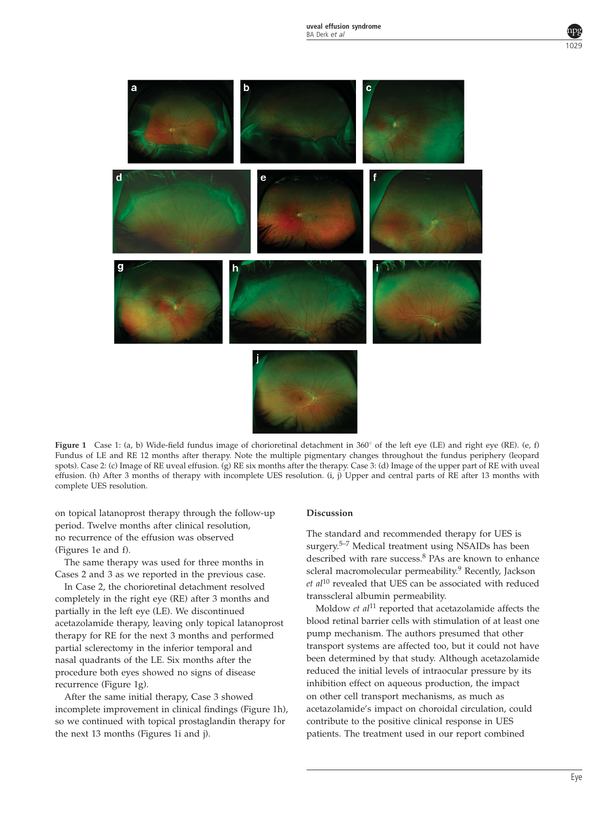<span id="page-1-0"></span>

Figure 1 Case 1: (a, b) Wide-field fundus image of chorioretinal detachment in 360° of the left eye (LE) and right eye (RE). (e, f) Fundus of LE and RE 12 months after therapy. Note the multiple pigmentary changes throughout the fundus periphery (leopard spots). Case 2: (c) Image of RE uveal effusion. (g) RE six months after the therapy. Case 3: (d) Image of the upper part of RE with uveal effusion. (h) After 3 months of therapy with incomplete UES resolution. (i, j) Upper and central parts of RE after 13 months with complete UES resolution.

on topical latanoprost therapy through the follow-up period. Twelve months after clinical resolution, no recurrence of the effusion was observed (Figures 1e and f).

The same therapy was used for three months in Cases 2 and 3 as we reported in the previous case.

In Case 2, the chorioretinal detachment resolved completely in the right eye (RE) after 3 months and partially in the left eye (LE). We discontinued acetazolamide therapy, leaving only topical latanoprost therapy for RE for the next 3 months and performed partial sclerectomy in the inferior temporal and nasal quadrants of the LE. Six months after the procedure both eyes showed no signs of disease recurrence (Figure 1g).

After the same initial therapy, Case 3 showed incomplete improvement in clinical findings (Figure 1h), so we continued with topical prostaglandin therapy for the next 13 months (Figures 1i and j).

## Discussion

The standard and recommended therapy for UES is surgery.[5–7](#page-2-0) Medical treatment using NSAIDs has been described with rare success.<sup>[8](#page-3-0)</sup> PAs are known to enhance scleral macromolecular permeability.<sup>[9](#page-3-0)</sup> Recently, Jackson  $et$   $al^{10}$  $al^{10}$  $al^{10}$  revealed that UES can be associated with reduced transscleral albumin permeability.

Moldow  $et$   $all<sup>11</sup>$  $all<sup>11</sup>$  $all<sup>11</sup>$  reported that acetazolamide affects the blood retinal barrier cells with stimulation of at least one pump mechanism. The authors presumed that other transport systems are affected too, but it could not have been determined by that study. Although acetazolamide reduced the initial levels of intraocular pressure by its inhibition effect on aqueous production, the impact on other cell transport mechanisms, as much as acetazolamide's impact on choroidal circulation, could contribute to the positive clinical response in UES patients. The treatment used in our report combined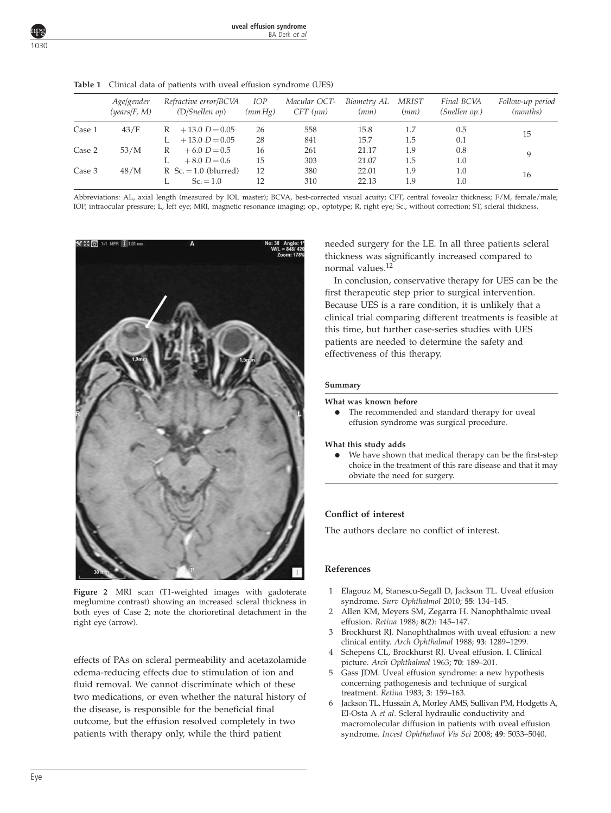|        | Age/gender<br>( <i>years</i> / F, M) | Refractive error/BCVA<br>(D/Snellen op) | <i>IOP</i><br>(mmHg) | Macular OCT-<br>$CFT$ ( $\mu$ m) | Biometry AL<br>(mm) | MRIST<br>(mm) | Final BCVA<br>(Snellen op.) | Follow-up period<br>( <i>months</i> ) |
|--------|--------------------------------------|-----------------------------------------|----------------------|----------------------------------|---------------------|---------------|-----------------------------|---------------------------------------|
| Case 1 | 43/F                                 | $+13.0 D = 0.05$<br>R                   | 26                   | 558                              | 15.8                | 1.7           | 0.5                         | 15                                    |
|        |                                      | $+13.0 D = 0.05$                        | 28                   | 841                              | 15.7                | 1.5           | 0.1                         |                                       |
| Case 2 | 53/M                                 | $+6.0 D=0.5$<br>R                       | 16                   | 261                              | 21.17               | 1.9           | 0.8                         | 9                                     |
|        |                                      | $+8.0 D=0.6$                            | 15                   | 303                              | 21.07               | 1.5           | 1.0                         |                                       |
| Case 3 | 48/M                                 | $R$ Sc. = 1.0 (blurred)                 | 12                   | 380                              | 22.01               | 1.9           | 1.0                         | 16                                    |
|        |                                      | $Sc = 1.0$                              | 12                   | 310                              | 22.13               | 1.9           | 1.0                         |                                       |

<span id="page-2-0"></span>Table 1 Clinical data of patients with uveal effusion syndrome (UES)

Abbreviations: AL, axial length (measured by IOL master); BCVA, best-corrected visual acuity; CFT, central foveolar thickness; F/M, female/male; IOP, intraocular pressure; L, left eye; MRI, magnetic resonance imaging; op., optotype; R, right eye; Sc., without correction; ST, scleral thickness.



Figure 2 MRI scan (T1-weighted images with gadoterate meglumine contrast) showing an increased scleral thickness in both eyes of Case 2; note the chorioretinal detachment in the right eye (arrow).

effects of PAs on scleral permeability and acetazolamide edema-reducing effects due to stimulation of ion and fluid removal. We cannot discriminate which of these two medications, or even whether the natural history of the disease, is responsible for the beneficial final outcome, but the effusion resolved completely in two patients with therapy only, while the third patient

needed surgery for the LE. In all three patients scleral thickness was significantly increased compared to normal values[.12](#page-3-0)

In conclusion, conservative therapy for UES can be the first therapeutic step prior to surgical intervention. Because UES is a rare condition, it is unlikely that a clinical trial comparing different treatments is feasible at this time, but further case-series studies with UES patients are needed to determine the safety and effectiveness of this therapy.

## Summary

#### What was known before

The recommended and standard therapy for uveal effusion syndrome was surgical procedure.

#### What this study adds

We have shown that medical therapy can be the first-step choice in the treatment of this rare disease and that it may obviate the need for surgery.

# Conflict of interest

The authors declare no conflict of interest.

## References

- 1 Elagouz M, Stanescu-Segall D, Jackson TL. Uveal effusion syndrome. Surv Ophthalmol 2010; 55: 134–145.
- 2 Allen KM, Meyers SM, Zegarra H. Nanophthalmic uveal effusion. Retina 1988; 8(2): 145–147.
- 3 Brockhurst RJ. Nanophthalmos with uveal effusion: a new clinical entity. Arch Ophthalmol 1988; 93: 1289–1299.
- 4 Schepens CL, Brockhurst RJ. Uveal effusion. I. Clinical picture. Arch Ophthalmol 1963; 70: 189–201.
- 5 Gass JDM. Uveal effusion syndrome: a new hypothesis concerning pathogenesis and technique of surgical treatment. Retina 1983; 3: 159–163.
- 6 Jackson TL, Hussain A, Morley AMS, Sullivan PM, Hodgetts A, El-Osta A et al. Scleral hydraulic conductivity and macromolecular diffusion in patients with uveal effusion syndrome. Invest Ophthalmol Vis Sci 2008; 49: 5033–5040.